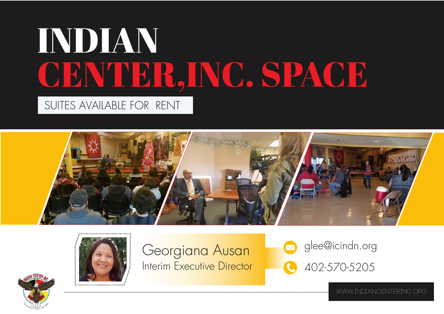# INDIAN CENTER,INC. SPACE SUITES AVAILABLE FOR RENT





Georgiana Ausan Interim Executive Director



www.indiancenterinc.org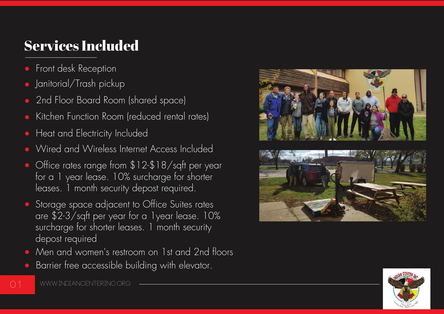# Services Included

- Front desk Reception  $\bullet$
- Janitorial/Trash pickup
- 2nd Floor Board Room (shared space)
- Kitchen Function Room (reduced rental rates)
- Heat and Electricity Included
- Wired and Wireless Internet Access Included
- Office rates range from \$12-\$18/sqft per year for a 1 year lease. 10% surcharge for shorter leases. 1 month security depost required.
- Storage space adjacent to Office Suites rates are \$2-3/sqft per year for a 1year lease. 10% surcharge for shorter leases. 1 month security depost required
- Men and women's restroom on 1st and 2nd floors
- Barrier free accessible building with elevator.





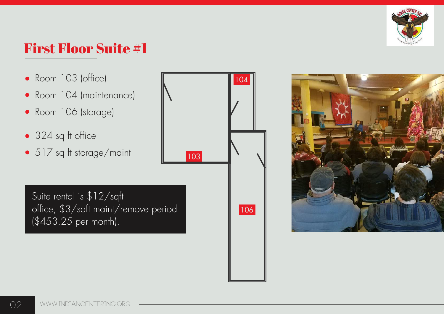

#### First Floor Suite #1

- Room 103 (office)
- Room 104 (maintenance)
- Room 106 (storage)
- 324 sq ft office
- 517 sq ft storage/maint

Suite rental is \$12/sqft office, \$3/sqft maint/remove period (\$453.25 per month).



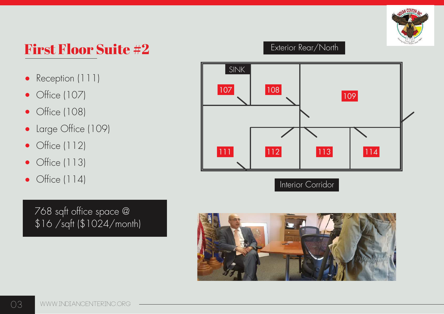

#### First Floor Suite #2

- Reception (111)  $\bullet$
- Office (107)  $\bullet$
- Office (108)  $\bullet$
- Large Office (109)  $\bullet$
- Office (112)  $\bullet$
- Office (113)  $\bullet$
- Office (114)  $\bullet$

768 sqft office space @ \$16 /sqft (\$1024/month)

#### Exterior Rear/North



Interior Corridor

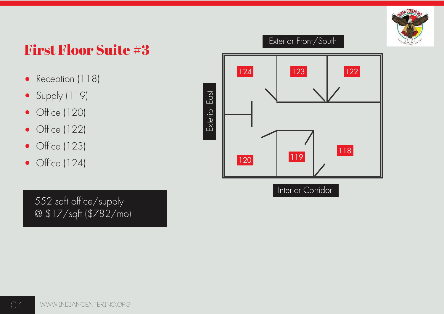

#### First Floor Suite #3

- Reception (118)  $\bullet$
- Supply (119)  $\bullet$
- Office (120)  $\bullet$
- Office (122)  $\bullet$
- Office (123)  $\bullet$
- Office (124)  $\bullet$

552 sqft office/supply @ \$17/sqft (\$782/mo)



Interior Corridor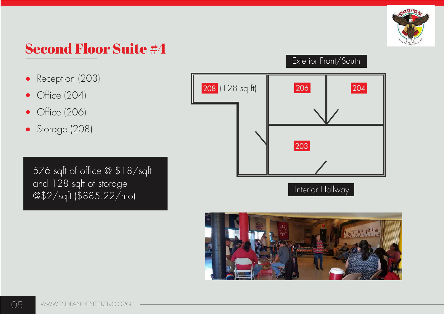

#### Second Floor Suite #4

- Reception (203)  $\bullet$
- Office (204)  $\bullet$
- Office (206)  $\bullet$
- Storage (208)  $\bullet$

576 sqft of office @ \$18/sqft and 128 sqft of storage @\$2/sqft (\$885.22/mo)

# 208 (128 sq tt) | 206 | 204 203 Interior Hallway



#### Exterior Front/South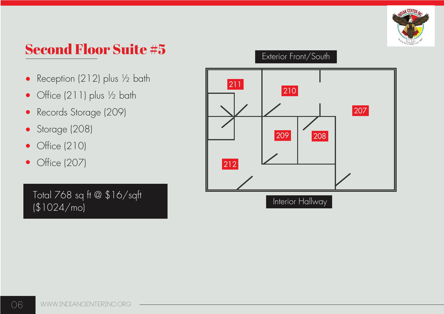

## Second Floor Suite #5

- Reception (212) plus ½ bath  $\bullet$
- Office (211) plus ½ bath  $\bullet$
- Records Storage (209)  $\bullet$
- Storage (208)  $\bullet$
- Office (210)  $\bullet$
- Office (207)  $\bullet$

Total 768 sq ft @ \$16/sqft (\$1024/mo)

#### Exterior Front/South

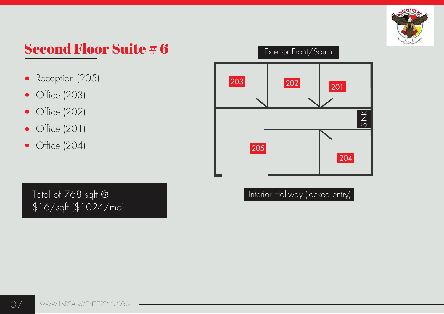

## Second Floor Suite # 6

- Reception (205)  $\bullet$
- Office (203)  $\bullet$
- Office (202)  $\bullet$
- Office (201)  $\bullet$
- Office (204)  $\bullet$



Interior Hallway (locked entry)

Total of 768 sqft @ \$16/sqft (\$1024/mo)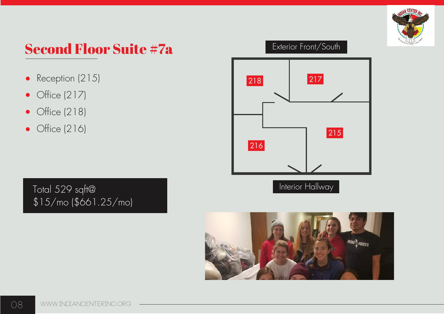

#### Second Floor Suite #7a

- Reception (215)  $\bullet$
- Office (217)  $\bullet$
- Office (218)  $\bullet$
- Office (216)

Total 529 sqft@ \$15/mo (\$661.25/mo)

#### Exterior Front/South



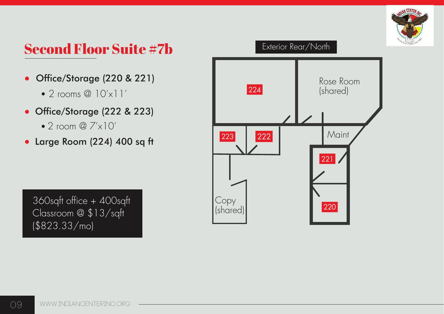

#### Second Floor Suite #7b

- Office/Storage (220 & 221)  $\bullet$ 
	- $\bullet$  2 rooms @  $10'$ x $1'$
- Office/Storage (222 & 223)
	- $\bullet$  2 room @  $7' \times 10'$
- Large Room (224) 400 sq ft



360sqft office + 400sqft Classroom @ \$13/sqft (\$823.33/mo)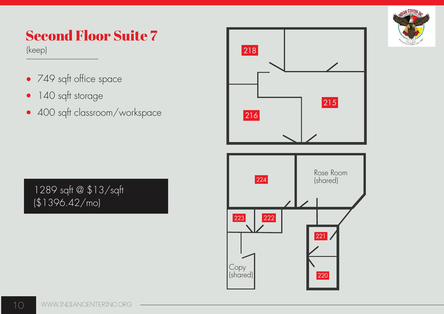

# Second Floor Suite 7

(keep)

- 749 sqft office space
- 140 sqft storage  $\bullet$
- 400 sqft classroom/workspace

1289 sqft @ \$13/sqft (\$1396.42/mo)